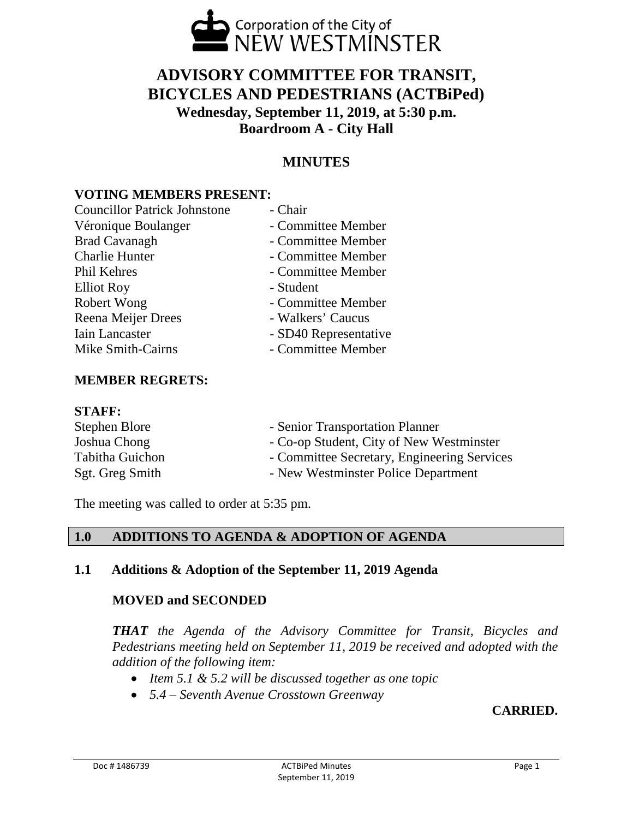

# **ADVISORY COMMITTEE FOR TRANSIT, BICYCLES AND PEDESTRIANS (ACTBiPed) Wednesday, September 11, 2019, at 5:30 p.m. Boardroom A - City Hall**

## **MINUTES**

## **VOTING MEMBERS PRESENT:**

| <b>Councillor Patrick Johnstone</b> | - Chair               |
|-------------------------------------|-----------------------|
| Véronique Boulanger                 | - Committee Member    |
| <b>Brad Cavanagh</b>                | - Committee Member    |
| <b>Charlie Hunter</b>               | - Committee Member    |
| Phil Kehres                         | - Committee Member    |
| <b>Elliot Roy</b>                   | - Student             |
| Robert Wong                         | - Committee Member    |
| Reena Meijer Drees                  | - Walkers' Caucus     |
| Iain Lancaster                      | - SD40 Representative |
| Mike Smith-Cairns                   | - Committee Member    |
|                                     |                       |

## **MEMBER REGRETS:**

#### **STAFF:**

| Stephen Blore          | - Senior Transportation Planner             |
|------------------------|---------------------------------------------|
| Joshua Chong           | - Co-op Student, City of New Westminster    |
| <b>Tabitha Guichon</b> | - Committee Secretary, Engineering Services |
| Sgt. Greg Smith        | - New Westminster Police Department         |

The meeting was called to order at 5:35 pm.

## **1.0 ADDITIONS TO AGENDA & ADOPTION OF AGENDA**

## **1.1 Additions & Adoption of the September 11, 2019 Agenda**

## **MOVED and SECONDED**

*THAT the Agenda of the Advisory Committee for Transit, Bicycles and Pedestrians meeting held on September 11, 2019 be received and adopted with the addition of the following item:* 

- *Item 5.1 & 5.2 will be discussed together as one topic*
- *5.4 Seventh Avenue Crosstown Greenway*

## **CARRIED.**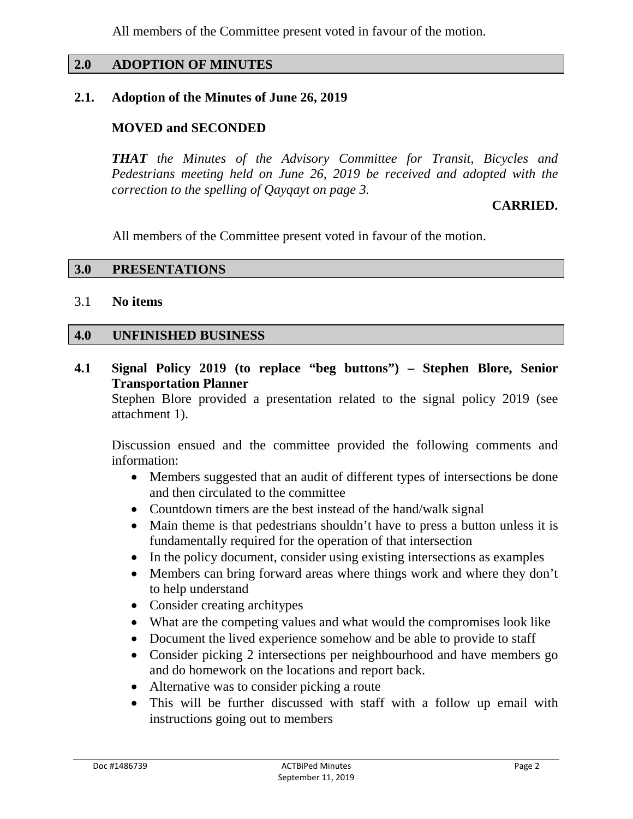All members of the Committee present voted in favour of the motion.

#### **2.0 ADOPTION OF MINUTES**

#### **2.1. Adoption of the Minutes of June 26, 2019**

#### **MOVED and SECONDED**

*THAT the Minutes of the Advisory Committee for Transit, Bicycles and Pedestrians meeting held on June 26, 2019 be received and adopted with the correction to the spelling of Qayqayt on page 3.* 

#### **CARRIED.**

All members of the Committee present voted in favour of the motion.

#### **3.0 PRESENTATIONS**

#### 3.1 **No items**

#### **4.0 UNFINISHED BUSINESS**

**4.1 Signal Policy 2019 (to replace "beg buttons") – Stephen Blore, Senior Transportation Planner**

Stephen Blore provided a presentation related to the signal policy 2019 (see attachment 1).

Discussion ensued and the committee provided the following comments and information:

- Members suggested that an audit of different types of intersections be done and then circulated to the committee
- Countdown timers are the best instead of the hand/walk signal
- Main theme is that pedestrians shouldn't have to press a button unless it is fundamentally required for the operation of that intersection
- In the policy document, consider using existing intersections as examples
- Members can bring forward areas where things work and where they don't to help understand
- Consider creating architypes
- What are the competing values and what would the compromises look like
- Document the lived experience somehow and be able to provide to staff
- Consider picking 2 intersections per neighbourhood and have members go and do homework on the locations and report back.
- Alternative was to consider picking a route
- This will be further discussed with staff with a follow up email with instructions going out to members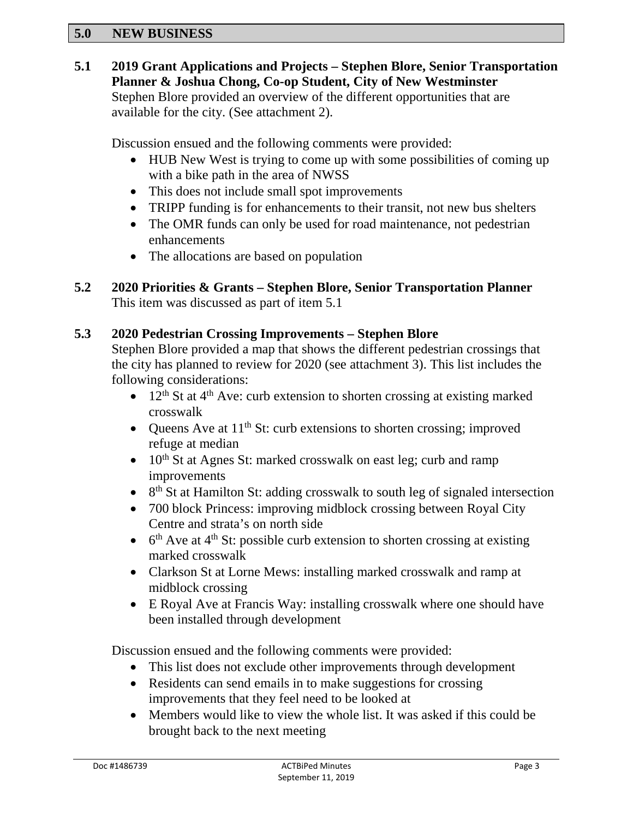#### **5.0 NEW BUSINESS**

## **5.1 2019 Grant Applications and Projects – Stephen Blore, Senior Transportation Planner & Joshua Chong, Co-op Student, City of New Westminster**

Stephen Blore provided an overview of the different opportunities that are available for the city. (See attachment 2).

Discussion ensued and the following comments were provided:

- HUB New West is trying to come up with some possibilities of coming up with a bike path in the area of NWSS
- This does not include small spot improvements
- TRIPP funding is for enhancements to their transit, not new bus shelters
- The OMR funds can only be used for road maintenance, not pedestrian enhancements
- The allocations are based on population

## **5.2 2020 Priorities & Grants – Stephen Blore, Senior Transportation Planner** This item was discussed as part of item 5.1

#### **5.3 2020 Pedestrian Crossing Improvements – Stephen Blore**

Stephen Blore provided a map that shows the different pedestrian crossings that the city has planned to review for 2020 (see attachment 3). This list includes the following considerations:

- 12<sup>th</sup> St at  $4<sup>th</sup>$  Ave: curb extension to shorten crossing at existing marked crosswalk
- Queens Ave at  $11<sup>th</sup>$  St: curb extensions to shorten crossing; improved refuge at median
- $10<sup>th</sup>$  St at Agnes St: marked crosswalk on east leg; curb and ramp improvements
- $8<sup>th</sup>$  St at Hamilton St: adding crosswalk to south leg of signaled intersection
- 700 block Princess: improving midblock crossing between Royal City Centre and strata's on north side
- $6<sup>th</sup>$  Ave at 4<sup>th</sup> St: possible curb extension to shorten crossing at existing marked crosswalk
- Clarkson St at Lorne Mews: installing marked crosswalk and ramp at midblock crossing
- E Royal Ave at Francis Way: installing crosswalk where one should have been installed through development

Discussion ensued and the following comments were provided:

- This list does not exclude other improvements through development
- Residents can send emails in to make suggestions for crossing improvements that they feel need to be looked at
- Members would like to view the whole list. It was asked if this could be brought back to the next meeting